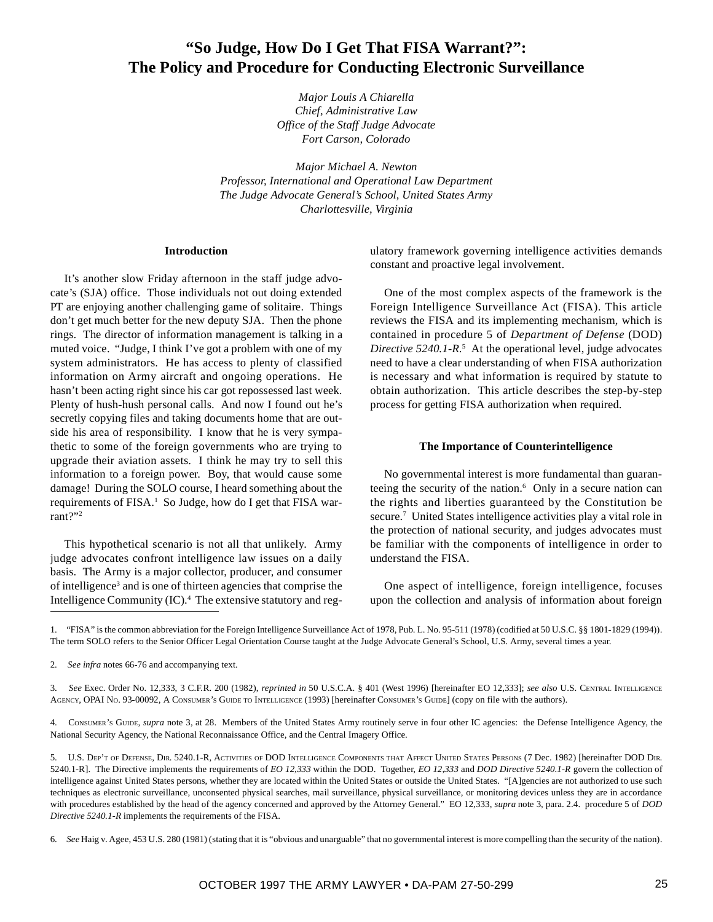# **"So Judge, How Do I Get That FISA Warrant?": The Policy and Procedure for Conducting Electronic Surveillance**

*Major Louis A Chiarella Chief, Administrative Law Office of the Staff Judge Advocate Fort Carson, Colorado*

*Major Michael A. Newton Professor, International and Operational Law Department The Judge Advocate General's School, United States Army Charlottesville, Virginia*

#### **Introduction**

It's another slow Friday afternoon in the staff judge advocate's (SJA) office. Those individuals not out doing extended PT are enjoying another challenging game of solitaire. Things don't get much better for the new deputy SJA. Then the phone rings. The director of information management is talking in a muted voice. "Judge, I think I've got a problem with one of my system administrators. He has access to plenty of classified information on Army aircraft and ongoing operations. He hasn't been acting right since his car got repossessed last week. Plenty of hush-hush personal calls. And now I found out he's secretly copying files and taking documents home that are outside his area of responsibility. I know that he is very sympathetic to some of the foreign governments who are trying to upgrade their aviation assets. I think he may try to sell this information to a foreign power. Boy, that would cause some damage! During the SOLO course, I heard something about the requirements of FISA.<sup>1</sup> So Judge, how do I get that FISA warrant?"2

This hypothetical scenario is not all that unlikely. Army judge advocates confront intelligence law issues on a daily basis. The Army is a major collector, producer, and consumer of intelligence<sup>3</sup> and is one of thirteen agencies that comprise the Intelligence Community (IC).4 The extensive statutory and regulatory framework governing intelligence activities demands constant and proactive legal involvement.

One of the most complex aspects of the framework is the Foreign Intelligence Surveillance Act (FISA). This article reviews the FISA and its implementing mechanism, which is contained in procedure 5 of *Department of Defense* (DOD) Directive 5240.1-R<sup>5</sup> At the operational level, judge advocates need to have a clear understanding of when FISA authorization is necessary and what information is required by statute to obtain authorization. This article describes the step-by-step process for getting FISA authorization when required.

#### **The Importance of Counterintelligence**

No governmental interest is more fundamental than guaranteeing the security of the nation.<sup>6</sup> Only in a secure nation can the rights and liberties guaranteed by the Constitution be secure.<sup>7</sup> United States intelligence activities play a vital role in the protection of national security, and judges advocates must be familiar with the components of intelligence in order to understand the FISA.

One aspect of intelligence, foreign intelligence, focuses upon the collection and analysis of information about foreign

1. "FISA" is the common abbreviation for the Foreign Intelligence Surveillance Act of 1978, Pub. L. No. 95-511 (1978) (codified at 50 U.S.C. §§ 1801-1829 (1994)). The term SOLO refers to the Senior Officer Legal Orientation Course taught at the Judge Advocate General's School, U.S. Army, several times a year.

2. *See infra* notes 66-76 and accompanying text.

3. *See* Exec. Order No. 12,333, 3 C.F.R. 200 (1982), *reprinted in* 50 U.S.C.A. § 401 (West 1996) [hereinafter EO 12,333]; *see also* U.S. CENTRAL INTELLIGENCE AGENCY, OPAI NO. 93-00092, A CONSUMER'S GUIDE TO INTELLIGENCE (1993) [hereinafter CONSUMER'S GUIDE] (copy on file with the authors).

4. CONSUMER'S GUIDE, *supra* note 3, at 28. Members of the United States Army routinely serve in four other IC agencies: the Defense Intelligence Agency, the National Security Agency, the National Reconnaissance Office, and the Central Imagery Office.

5. U.S. DEP'T OF DEFENSE, DIR. 5240.1-R, ACTIVITIES OF DOD INTELLIGENCE COMPONENTS THAT AFFECT UNITED STATES PERSONS (7 Dec. 1982) [hereinafter DOD DIR. 5240.1-R]. The Directive implements the requirements of *EO 12,333* within the DOD. Together, *EO 12,333* and *DOD Directive 5240.1-R* govern the collection of intelligence against United States persons, whether they are located within the United States or outside the United States. "[A]gencies are not authorized to use such techniques as electronic surveillance, unconsented physical searches, mail surveillance, physical surveillance, or monitoring devices unless they are in accordance with procedures established by the head of the agency concerned and approved by the Attorney General." EO 12,333, *supra* note 3, para. 2.4. procedure 5 of *DOD Directive 5240.1-R* implements the requirements of the FISA.

6. *See* Haig v. Agee, 453 U.S. 280 (1981) (stating that it is "obvious and unarguable" that no governmental interest is more compelling than the security of the nation).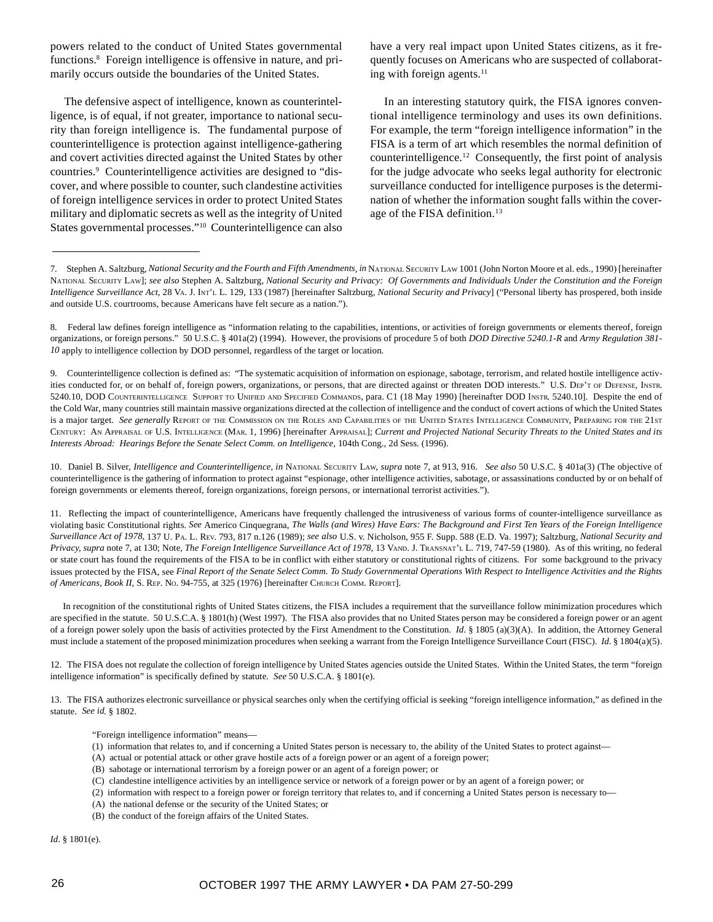powers related to the conduct of United States governmental functions.<sup>8</sup> Foreign intelligence is offensive in nature, and primarily occurs outside the boundaries of the United States.

The defensive aspect of intelligence, known as counterintelligence, is of equal, if not greater, importance to national security than foreign intelligence is. The fundamental purpose of counterintelligence is protection against intelligence-gathering and covert activities directed against the United States by other countries.<sup>9</sup> Counterintelligence activities are designed to "discover, and where possible to counter, such clandestine activities of foreign intelligence services in order to protect United States military and diplomatic secrets as well as the integrity of United States governmental processes."10 Counterintelligence can also have a very real impact upon United States citizens, as it frequently focuses on Americans who are suspected of collaborating with foreign agents. $11$ 

In an interesting statutory quirk, the FISA ignores conventional intelligence terminology and uses its own definitions. For example, the term "foreign intelligence information" in the FISA is a term of art which resembles the normal definition of counterintelligence.12 Consequently, the first point of analysis for the judge advocate who seeks legal authority for electronic surveillance conducted for intelligence purposes is the determination of whether the information sought falls within the coverage of the FISA definition.<sup>13</sup>

10. Daniel B. Silver, *Intelligence and Counterintelligence*, *in* NATIONAL SECURITY LAW, *supra* note 7, at 913, 916. *See also* 50 U.S.C. § 401a(3) (The objective of counterintelligence is the gathering of information to protect against "espionage, other intelligence activities, sabotage, or assassinations conducted by or on behalf of foreign governments or elements thereof, foreign organizations, foreign persons, or international terrorist activities.").

11. Reflecting the impact of counterintelligence, Americans have frequently challenged the intrusiveness of various forms of counter-intelligence surveillance as violating basic Constitutional rights. *See* Americo Cinquegrana, *The Walls (and Wires) Have Ears: The Background and First Ten Years of the Foreign Intelligence Surveillance Act of 1978,* 137 U. PA. L. REV. 793, 817 n.126 (1989); *see also* U.S. v. Nicholson, 955 F. Supp. 588 (E.D. Va. 1997); Saltzburg, *National Security and Privacy, supra* note 7, at 130; Note, *The Foreign Intelligence Surveillance Act of 1978*, 13 VAND. J. TRANSNAT'L L. 719, 747-59 (1980). As of this writing, no federal or state court has found the requirements of the FISA to be in conflict with either statutory or constitutional rights of citizens. For some background to the privacy issues protected by the FISA, see *Final Report of the Senate Select Comm. To Study Governmental Operations With Respect to Intelligence Activities and the Rights* of Americans, Book II, S. REP. No. 94-755, at 325 (1976) [hereinafter CHURCH COMM. REPORT].

In recognition of the constitutional rights of United States citizens, the FISA includes a requirement that the surveillance follow minimization procedures which are specified in the statute. 50 U.S.C.A. § 1801(h) (West 1997). The FISA also provides that no United States person may be considered a foreign power or an agent of a foreign power solely upon the basis of activities protected by the First Amendment to the Constitution. *Id*. § 1805 (a)(3)(A). In addition, the Attorney General must include a statement of the proposed minimization procedures when seeking a warrant from the Foreign Intelligence Surveillance Court (FISC). *Id*. § 1804(a)(5).

12. The FISA does not regulate the collection of foreign intelligence by United States agencies outside the United States. Within the United States, the term "foreign intelligence information" is specifically defined by statute. *See* 50 U.S.C.A. § 1801(e).

13. The FISA authorizes electronic surveillance or physical searches only when the certifying official is seeking "foreign intelligence information," as defined in the statute. *See id*. § 1802.

"Foreign intelligence information" means—

- (1) information that relates to, and if concerning a United States person is necessary to, the ability of the United States to protect against—
- (A) actual or potential attack or other grave hostile acts of a foreign power or an agent of a foreign power;
- (B) sabotage or international terrorism by a foreign power or an agent of a foreign power; or
- (C) clandestine intelligence activities by an intelligence service or network of a foreign power or by an agent of a foreign power; or
- (2) information with respect to a foreign power or foreign territory that relates to, and if concerning a United States person is necessary to—
- (A) the national defense or the security of the United States; or
- (B) the conduct of the foreign affairs of the United States.

*Id*. § 1801(e).

<sup>7.</sup> Stephen A. Saltzburg, *National Security and the Fourth and Fifth Amendments*, *in* NATIONAL SECURITY LAW 1001 (John Norton Moore et al. eds., 1990) [hereinafter NATIONAL SECURITY LAW]; *see also* Stephen A. Saltzburg, *National Security and Privacy: Of Governments and Individuals Under the Constitution and the Foreign Intelligence Surveillance Act*, 28 VA. J. INT'L L. 129, 133 (1987) [hereinafter Saltzburg, *National Security and Privacy*] ("Personal liberty has prospered, both inside and outside U.S. courtrooms, because Americans have felt secure as a nation.").

<sup>8.</sup> Federal law defines foreign intelligence as "information relating to the capabilities, intentions, or activities of foreign governments or elements thereof, foreign organizations, or foreign persons." 50 U.S.C. § 401a(2) (1994). However, the provisions of procedure 5 of both *DOD Directive 5240.1-R* and *Army Regulation 381- 10* apply to intelligence collection by DOD personnel, regardless of the target or location.

<sup>9.</sup> Counterintelligence collection is defined as: "The systematic acquisition of information on espionage, sabotage, terrorism, and related hostile intelligence activities conducted for, or on behalf of, foreign powers, organizations, or persons, that are directed against or threaten DOD interests." U.S. DEP'T OF DEFENSE, INSTR. 5240.10, DOD COUNTERINTELLIGENCE SUPPORT TO UNIFIED AND SPECIFIED COMMANDS, para. C1 (18 May 1990) [hereinafter DOD INSTR. 5240.10]. Despite the end of the Cold War, many countries still maintain massive organizations directed at the collection of intelligence and the conduct of covert actions of which the United States is a major target. *See generally* REPORT OF THE COMMISSION ON THE ROLES AND CAPABILITIES OF THE UNITED STATES INTELLIGENCE COMMUNITY, PREPARING FOR THE 21ST CENTURY: AN APPRAISAL OF U.S. INTELLIGENCE (MAR. 1, 1996) [hereinafter APPRAISAL]; *Current and Projected National Security Threats to the United States and its Interests Abroad: Hearings Before the Senate Select Comm. on Intelligence*, 104th Cong., 2d Sess. (1996).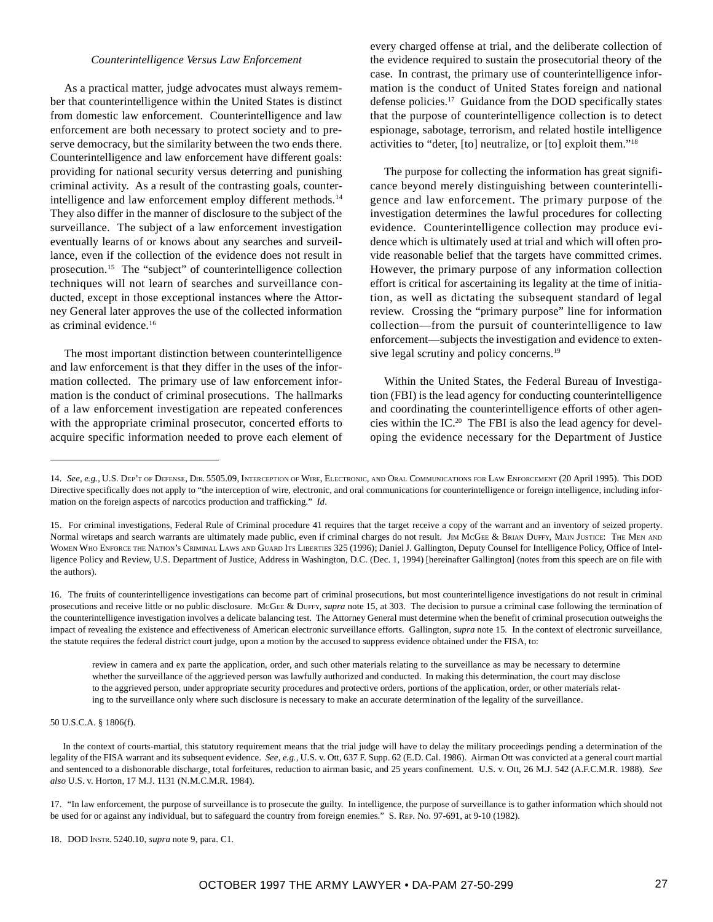#### *Counterintelligence Versus Law Enforcement*

As a practical matter, judge advocates must always remember that counterintelligence within the United States is distinct from domestic law enforcement. Counterintelligence and law enforcement are both necessary to protect society and to preserve democracy, but the similarity between the two ends there. Counterintelligence and law enforcement have different goals: providing for national security versus deterring and punishing criminal activity. As a result of the contrasting goals, counterintelligence and law enforcement employ different methods.<sup>14</sup> They also differ in the manner of disclosure to the subject of the surveillance. The subject of a law enforcement investigation eventually learns of or knows about any searches and surveillance, even if the collection of the evidence does not result in prosecution.15 The "subject" of counterintelligence collection techniques will not learn of searches and surveillance conducted, except in those exceptional instances where the Attorney General later approves the use of the collected information as criminal evidence.<sup>16</sup>

The most important distinction between counterintelligence and law enforcement is that they differ in the uses of the information collected. The primary use of law enforcement information is the conduct of criminal prosecutions. The hallmarks of a law enforcement investigation are repeated conferences with the appropriate criminal prosecutor, concerted efforts to acquire specific information needed to prove each element of every charged offense at trial, and the deliberate collection of the evidence required to sustain the prosecutorial theory of the case. In contrast, the primary use of counterintelligence information is the conduct of United States foreign and national defense policies.<sup>17</sup> Guidance from the DOD specifically states that the purpose of counterintelligence collection is to detect espionage, sabotage, terrorism, and related hostile intelligence activities to "deter, [to] neutralize, or [to] exploit them."18

The purpose for collecting the information has great significance beyond merely distinguishing between counterintelligence and law enforcement. The primary purpose of the investigation determines the lawful procedures for collecting evidence. Counterintelligence collection may produce evidence which is ultimately used at trial and which will often provide reasonable belief that the targets have committed crimes. However, the primary purpose of any information collection effort is critical for ascertaining its legality at the time of initiation, as well as dictating the subsequent standard of legal review. Crossing the "primary purpose" line for information collection—from the pursuit of counterintelligence to law enforcement—subjects the investigation and evidence to extensive legal scrutiny and policy concerns.<sup>19</sup>

Within the United States, the Federal Bureau of Investigation (FBI) is the lead agency for conducting counterintelligence and coordinating the counterintelligence efforts of other agencies within the IC.20 The FBI is also the lead agency for developing the evidence necessary for the Department of Justice

review in camera and ex parte the application, order, and such other materials relating to the surveillance as may be necessary to determine whether the surveillance of the aggrieved person was lawfully authorized and conducted. In making this determination, the court may disclose to the aggrieved person, under appropriate security procedures and protective orders, portions of the application, order, or other materials relating to the surveillance only where such disclosure is necessary to make an accurate determination of the legality of the surveillance.

50 U.S.C.A. § 1806(f).

In the context of courts-martial, this statutory requirement means that the trial judge will have to delay the military proceedings pending a determination of the legality of the FISA warrant and its subsequent evidence. *See, e.g.,* U.S. v. Ott, 637 F. Supp. 62 (E.D. Cal. 1986). Airman Ott was convicted at a general court martial and sentenced to a dishonorable discharge, total forfeitures, reduction to airman basic, and 25 years confinement. U.S. v. Ott, 26 M.J. 542 (A.F.C.M.R. 1988). *See also* U.S. v. Horton, 17 M.J. 1131 (N.M.C.M.R. 1984).

17. "In law enforcement, the purpose of surveillance is to prosecute the guilty. In intelligence, the purpose of surveillance is to gather information which should not be used for or against any individual, but to safeguard the country from foreign enemies." S. REP. NO. 97-691, at 9-10 (1982).

18. DOD INSTR. 5240.10, *supra* note 9, para. C1.

<sup>14.</sup> *See, e.g.,* U.S. DEP'T OF DEFENSE, DIR. 5505.09, INTERCEPTION OF WIRE, ELECTRONIC, AND ORAL COMMUNICATIONS FOR LAW ENFORCEMENT (20 April 1995). This DOD Directive specifically does not apply to "the interception of wire, electronic, and oral communications for counterintelligence or foreign intelligence, including information on the foreign aspects of narcotics production and trafficking." *Id*.

<sup>15.</sup> For criminal investigations, Federal Rule of Criminal procedure 41 requires that the target receive a copy of the warrant and an inventory of seized property. Normal wiretaps and search warrants are ultimately made public, even if criminal charges do not result. JIM MCGEE & BRIAN DUFFY, MAIN JUSTICE: THE MEN AND WOMEN WHO ENFORCE THE NATION'S CRIMINAL LAWS AND GUARD ITS LIBERTIES 325 (1996); Daniel J. Gallington, Deputy Counsel for Intelligence Policy, Office of Intelligence Policy and Review, U.S. Department of Justice, Address in Washington, D.C. (Dec. 1, 1994) [hereinafter Gallington] (notes from this speech are on file with the authors).

<sup>16.</sup> The fruits of counterintelligence investigations can become part of criminal prosecutions, but most counterintelligence investigations do not result in criminal prosecutions and receive little or no public disclosure. MCGEE & DUFFY, *supra* note 15, at 303. The decision to pursue a criminal case following the termination of the counterintelligence investigation involves a delicate balancing test. The Attorney General must determine when the benefit of criminal prosecution outweighs the impact of revealing the existence and effectiveness of American electronic surveillance efforts. Gallington, *supra* note 15. In the context of electronic surveillance, the statute requires the federal district court judge, upon a motion by the accused to suppress evidence obtained under the FISA, to: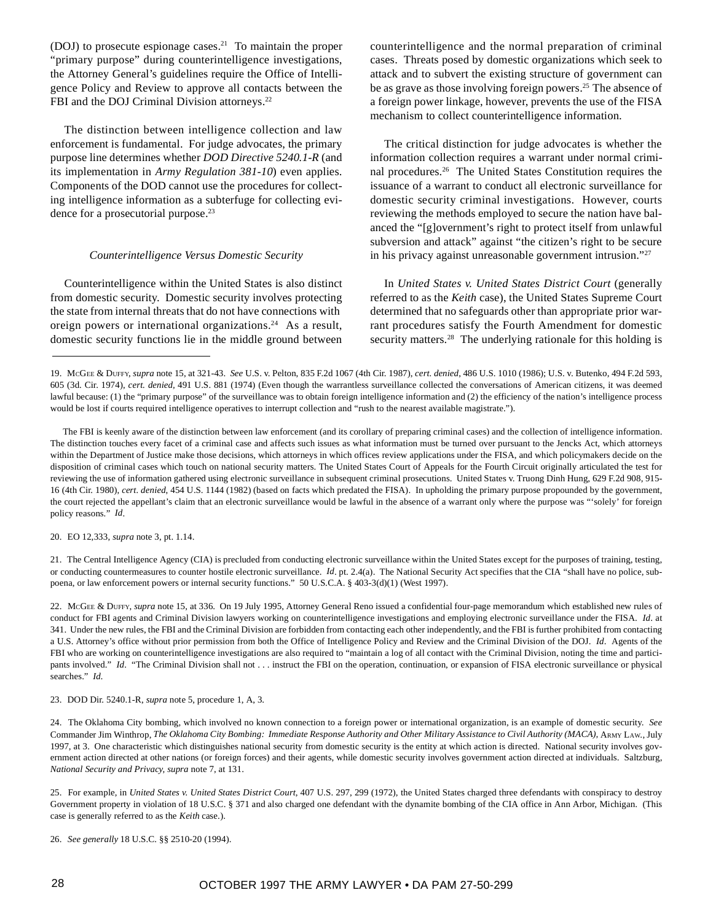(DOJ) to prosecute espionage cases.21 To maintain the proper "primary purpose" during counterintelligence investigations, the Attorney General's guidelines require the Office of Intelligence Policy and Review to approve all contacts between the FBI and the DOJ Criminal Division attorneys.<sup>22</sup>

The distinction between intelligence collection and law enforcement is fundamental. For judge advocates, the primary purpose line determines whether *DOD Directive 5240.1-R* (and its implementation in *Army Regulation 381-10*) even applies. Components of the DOD cannot use the procedures for collecting intelligence information as a subterfuge for collecting evidence for a prosecutorial purpose.<sup>23</sup>

## *Counterintelligence Versus Domestic Security*

Counterintelligence within the United States is also distinct from domestic security. Domestic security involves protecting the state from internal threats that do not have connections with oreign powers or international organizations.24 As a result, domestic security functions lie in the middle ground between

counterintelligence and the normal preparation of criminal cases. Threats posed by domestic organizations which seek to attack and to subvert the existing structure of government can be as grave as those involving foreign powers.<sup>25</sup> The absence of a foreign power linkage, however, prevents the use of the FISA mechanism to collect counterintelligence information.

The critical distinction for judge advocates is whether the information collection requires a warrant under normal criminal procedures.26 The United States Constitution requires the issuance of a warrant to conduct all electronic surveillance for domestic security criminal investigations. However, courts reviewing the methods employed to secure the nation have balanced the "[g]overnment's right to protect itself from unlawful subversion and attack" against "the citizen's right to be secure in his privacy against unreasonable government intrusion."27

In *United States v. United States District Court* (generally referred to as the *Keith* case), the United States Supreme Court determined that no safeguards other than appropriate prior warrant procedures satisfy the Fourth Amendment for domestic security matters.<sup>28</sup> The underlying rationale for this holding is

20. EO 12,333, *supra* note 3, pt. 1.14.

21. The Central Intelligence Agency (CIA) is precluded from conducting electronic surveillance within the United States except for the purposes of training, testing, or conducting countermeasures to counter hostile electronic surveillance. *Id*. pt. 2.4(a). The National Security Act specifies that the CIA "shall have no police, subpoena, or law enforcement powers or internal security functions." 50 U.S.C.A. § 403-3(d)(1) (West 1997).

22. MCGEE & DUFFY, *supra* note 15, at 336. On 19 July 1995, Attorney General Reno issued a confidential four-page memorandum which established new rules of conduct for FBI agents and Criminal Division lawyers working on counterintelligence investigations and employing electronic surveillance under the FISA. *Id*. at 341. Under the new rules, the FBI and the Criminal Division are forbidden from contacting each other independently, and the FBI is further prohibited from contacting a U.S. Attorney's office without prior permission from both the Office of Intelligence Policy and Review and the Criminal Division of the DOJ. *Id*. Agents of the FBI who are working on counterintelligence investigations are also required to "maintain a log of all contact with the Criminal Division, noting the time and participants involved." *Id.* "The Criminal Division shall not . . . instruct the FBI on the operation, continuation, or expansion of FISA electronic surveillance or physical searches." *Id.*

23. DOD Dir. 5240.1-R, *supra* note 5, procedure 1, A, 3.

24. The Oklahoma City bombing, which involved no known connection to a foreign power or international organization, is an example of domestic security. *See* Commander Jim Winthrop, *The Oklahoma City Bombing: Immediate Response Authority and Other Military Assistance to Civil Authority (MACA),* ARMY LAW., July 1997, at 3. One characteristic which distinguishes national security from domestic security is the entity at which action is directed. National security involves government action directed at other nations (or foreign forces) and their agents, while domestic security involves government action directed at individuals. Saltzburg, *National Security and Privacy, supra* note 7, at 131.

25. For example, in *United States v. United States District Court*, 407 U.S. 297, 299 (1972), the United States charged three defendants with conspiracy to destroy Government property in violation of 18 U.S.C. § 371 and also charged one defendant with the dynamite bombing of the CIA office in Ann Arbor, Michigan. (This case is generally referred to as the *Keith* case.).

26. *See generally* 18 U.S.C. §§ 2510-20 (1994).

<sup>19.</sup> MCGEE & DUFFY, *supra* note 15, at 321-43. *See* U.S. v. Pelton, 835 F.2d 1067 (4th Cir. 1987), *cert. denied*, 486 U.S. 1010 (1986); U.S. v. Butenko, 494 F.2d 593, 605 (3d. Cir. 1974), *cert. denied,* 491 U.S. 881 (1974) (Even though the warrantless surveillance collected the conversations of American citizens, it was deemed lawful because: (1) the "primary purpose" of the surveillance was to obtain foreign intelligence information and (2) the efficiency of the nation's intelligence process would be lost if courts required intelligence operatives to interrupt collection and "rush to the nearest available magistrate.").

The FBI is keenly aware of the distinction between law enforcement (and its corollary of preparing criminal cases) and the collection of intelligence information. The distinction touches every facet of a criminal case and affects such issues as what information must be turned over pursuant to the Jencks Act, which attorneys within the Department of Justice make those decisions, which attorneys in which offices review applications under the FISA, and which policymakers decide on the disposition of criminal cases which touch on national security matters. The United States Court of Appeals for the Fourth Circuit originally articulated the test for reviewing the use of information gathered using electronic surveillance in subsequent criminal prosecutions. United States v. Truong Dinh Hung, 629 F.2d 908, 915- 16 (4th Cir. 1980), *cert. denied*, 454 U.S. 1144 (1982) (based on facts which predated the FISA). In upholding the primary purpose propounded by the government, the court rejected the appellant's claim that an electronic surveillance would be lawful in the absence of a warrant only where the purpose was "'solely' for foreign policy reasons." *Id*.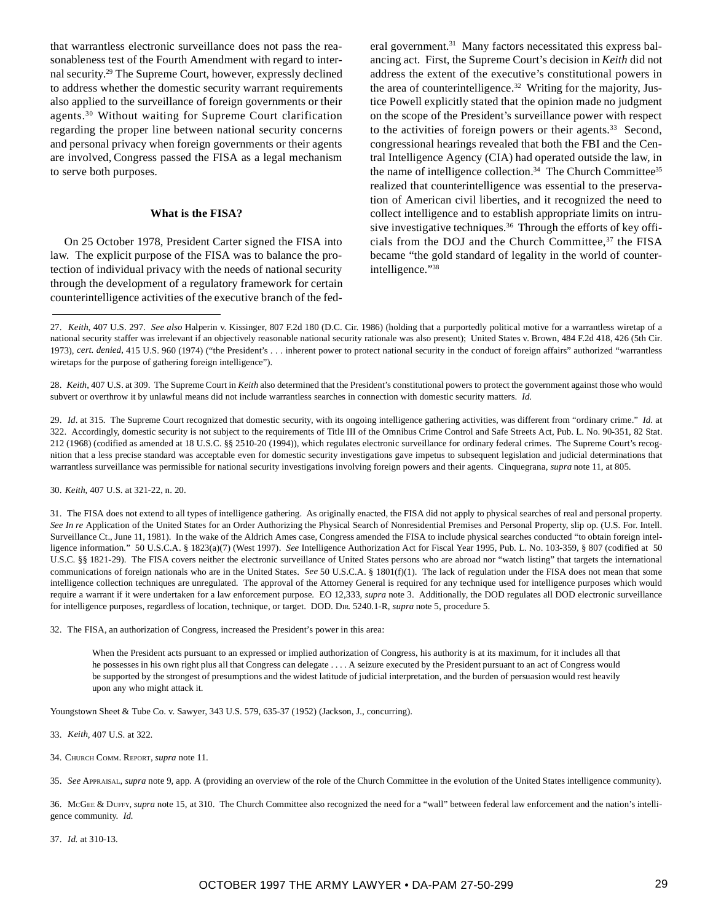that warrantless electronic surveillance does not pass the reasonableness test of the Fourth Amendment with regard to internal security.29 The Supreme Court, however, expressly declined to address whether the domestic security warrant requirements also applied to the surveillance of foreign governments or their agents.30 Without waiting for Supreme Court clarification regarding the proper line between national security concerns and personal privacy when foreign governments or their agents are involved, Congress passed the FISA as a legal mechanism to serve both purposes.

#### **What is the FISA?**

On 25 October 1978, President Carter signed the FISA into law. The explicit purpose of the FISA was to balance the protection of individual privacy with the needs of national security through the development of a regulatory framework for certain counterintelligence activities of the executive branch of the federal government.<sup>31</sup> Many factors necessitated this express balancing act. First, the Supreme Court's decision in *Keith* did not address the extent of the executive's constitutional powers in the area of counterintelligence.<sup>32</sup> Writing for the majority, Justice Powell explicitly stated that the opinion made no judgment on the scope of the President's surveillance power with respect to the activities of foreign powers or their agents.<sup>33</sup> Second, congressional hearings revealed that both the FBI and the Central Intelligence Agency (CIA) had operated outside the law, in the name of intelligence collection.<sup>34</sup> The Church Committee<sup>35</sup> realized that counterintelligence was essential to the preservation of American civil liberties, and it recognized the need to collect intelligence and to establish appropriate limits on intrusive investigative techniques.<sup>36</sup> Through the efforts of key officials from the DOJ and the Church Committee,<sup>37</sup> the FISA became "the gold standard of legality in the world of counterintelligence."38

29. *Id*. at 315. The Supreme Court recognized that domestic security, with its ongoing intelligence gathering activities, was different from "ordinary crime." *Id.* at 322. Accordingly, domestic security is not subject to the requirements of Title III of the Omnibus Crime Control and Safe Streets Act, Pub. L. No. 90-351, 82 Stat. 212 (1968) (codified as amended at 18 U.S.C. §§ 2510-20 (1994)), which regulates electronic surveillance for ordinary federal crimes. The Supreme Court's recognition that a less precise standard was acceptable even for domestic security investigations gave impetus to subsequent legislation and judicial determinations that warrantless surveillance was permissible for national security investigations involving foreign powers and their agents. Cinquegrana, *supra* note 11, at 805.

30. *Keith*, 407 U.S. at 321-22, n. 20.

31. The FISA does not extend to all types of intelligence gathering. As originally enacted, the FISA did not apply to physical searches of real and personal property. *See In re* Application of the United States for an Order Authorizing the Physical Search of Nonresidential Premises and Personal Property, slip op. (U.S. For. Intell. Surveillance Ct., June 11, 1981). In the wake of the Aldrich Ames case, Congress amended the FISA to include physical searches conducted "to obtain foreign intelligence information." 50 U.S.C.A. § 1823(a)(7) (West 1997). *See* Intelligence Authorization Act for Fiscal Year 1995, Pub. L. No. 103-359, § 807 (codified at 50 U.S.C. §§ 1821-29). The FISA covers neither the electronic surveillance of United States persons who are abroad nor "watch listing" that targets the international communications of foreign nationals who are in the United States. *See* 50 U.S.C.A. § 1801(f)(1). The lack of regulation under the FISA does not mean that some intelligence collection techniques are unregulated. The approval of the Attorney General is required for any technique used for intelligence purposes which would require a warrant if it were undertaken for a law enforcement purpose. EO 12,333, *supra* note 3. Additionally, the DOD regulates all DOD electronic surveillance for intelligence purposes, regardless of location, technique, or target. DOD. DIR. 5240.1-R, *supra* note 5, procedure 5.

32. The FISA, an authorization of Congress, increased the President's power in this area:

When the President acts pursuant to an expressed or implied authorization of Congress, his authority is at its maximum, for it includes all that he possesses in his own right plus all that Congress can delegate . . . . A seizure executed by the President pursuant to an act of Congress would be supported by the strongest of presumptions and the widest latitude of judicial interpretation, and the burden of persuasion would rest heavily upon any who might attack it.

Youngstown Sheet & Tube Co. v. Sawyer, 343 U.S. 579, 635-37 (1952) (Jackson, J., concurring).

- 33. *Keith*, 407 U.S. at 322.
- 34. CHURCH COMM. REPORT, *supra* note 11.
- 35. *See* APPRAISAL, *supra* note 9, app. A (providing an overview of the role of the Church Committee in the evolution of the United States intelligence community).

36. MCGEE & DUFFY, *supra* note 15, at 310. The Church Committee also recognized the need for a "wall" between federal law enforcement and the nation's intelligence community. *Id.*

37. *Id.* at 310-13.

<sup>27.</sup> *Keith*, 407 U.S. 297. *See also* Halperin v. Kissinger, 807 F.2d 180 (D.C. Cir. 1986) (holding that a purportedly political motive for a warrantless wiretap of a national security staffer was irrelevant if an objectively reasonable national security rationale was also present); United States v. Brown, 484 F.2d 418, 426 (5th Cir. 1973), *cert. denied,* 415 U.S. 960 (1974) ("the President's . . . inherent power to protect national security in the conduct of foreign affairs" authorized "warrantless wiretaps for the purpose of gathering foreign intelligence").

<sup>28.</sup> *Keith*, 407 U.S. at 309. The Supreme Court in *Keith* also determined that the President's constitutional powers to protect the government against those who would subvert or overthrow it by unlawful means did not include warrantless searches in connection with domestic security matters. *Id*.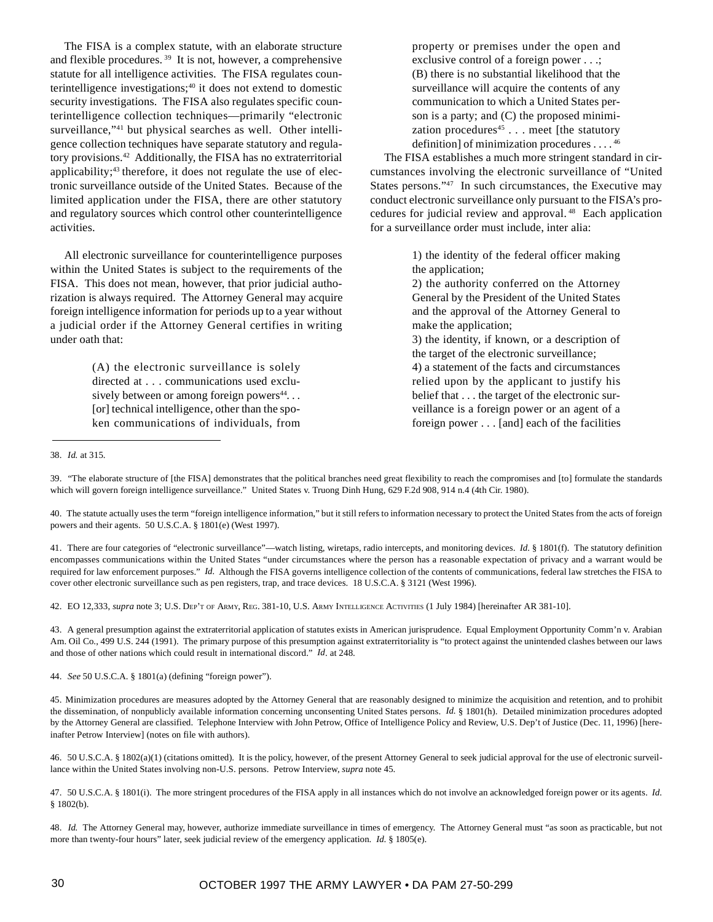The FISA is a complex statute, with an elaborate structure and flexible procedures. 39 It is not, however, a comprehensive statute for all intelligence activities. The FISA regulates counterintelligence investigations; $40$  it does not extend to domestic security investigations. The FISA also regulates specific counterintelligence collection techniques—primarily "electronic surveillance,"<sup>41</sup> but physical searches as well. Other intelligence collection techniques have separate statutory and regulatory provisions.42 Additionally, the FISA has no extraterritorial applicability;<sup>43</sup> therefore, it does not regulate the use of electronic surveillance outside of the United States. Because of the limited application under the FISA, there are other statutory and regulatory sources which control other counterintelligence activities.

All electronic surveillance for counterintelligence purposes within the United States is subject to the requirements of the FISA. This does not mean, however, that prior judicial authorization is always required. The Attorney General may acquire foreign intelligence information for periods up to a year without a judicial order if the Attorney General certifies in writing under oath that:

> (A) the electronic surveillance is solely directed at . . . communications used exclusively between or among foreign powers $44$ ... [or] technical intelligence, other than the spoken communications of individuals, from

property or premises under the open and exclusive control of a foreign power . . .; (B) there is no substantial likelihood that the surveillance will acquire the contents of any communication to which a United States person is a party; and (C) the proposed minimization procedures<sup>45</sup> . . . meet [the statutory definition] of minimization procedures . . . . 46

The FISA establishes a much more stringent standard in circumstances involving the electronic surveillance of "United States persons."<sup>47</sup> In such circumstances, the Executive may conduct electronic surveillance only pursuant to the FISA's procedures for judicial review and approval. 48 Each application for a surveillance order must include, inter alia:

> 1) the identity of the federal officer making the application;

> 2) the authority conferred on the Attorney General by the President of the United States and the approval of the Attorney General to make the application;

> 3) the identity, if known, or a description of the target of the electronic surveillance; 4) a statement of the facts and circumstances

relied upon by the applicant to justify his belief that . . . the target of the electronic surveillance is a foreign power or an agent of a foreign power . . . [and] each of the facilities

42. EO 12,333, *supra* note 3; U.S. DEP'T OF ARMY, REG. 381-10, U.S. ARMY INTELLIGENCE ACTIVITIES (1 July 1984) [hereinafter AR 381-10].

43. A general presumption against the extraterritorial application of statutes exists in American jurisprudence. Equal Employment Opportunity Comm'n v. Arabian Am. Oil Co., 499 U.S. 244 (1991). The primary purpose of this presumption against extraterritoriality is "to protect against the unintended clashes between our laws and those of other nations which could result in international discord." *Id*. at 248.

44. *See* 50 U.S.C.A. § 1801(a) (defining "foreign power").

<sup>38.</sup> *Id.* at 315.

<sup>39. &</sup>quot;The elaborate structure of [the FISA] demonstrates that the political branches need great flexibility to reach the compromises and [to] formulate the standards which will govern foreign intelligence surveillance." United States v. Truong Dinh Hung, 629 F.2d 908, 914 n.4 (4th Cir. 1980).

<sup>40.</sup> The statute actually uses the term "foreign intelligence information," but it still refers to information necessary to protect the United States from the acts of foreign powers and their agents. 50 U.S.C.A. § 1801(e) (West 1997).

<sup>41.</sup> There are four categories of "electronic surveillance"—watch listing, wiretaps, radio intercepts, and monitoring devices. *Id.* § 1801(f). The statutory definition encompasses communications within the United States "under circumstances where the person has a reasonable expectation of privacy and a warrant would be required for law enforcement purposes." *Id.* Although the FISA governs intelligence collection of the contents of communications, federal law stretches the FISA to cover other electronic surveillance such as pen registers, trap, and trace devices. 18 U.S.C.A. § 3121 (West 1996).

<sup>45.</sup> Minimization procedures are measures adopted by the Attorney General that are reasonably designed to minimize the acquisition and retention, and to prohibit the dissemination, of nonpublicly available information concerning unconsenting United States persons. *Id.* § 1801(h). Detailed minimization procedures adopted by the Attorney General are classified. Telephone Interview with John Petrow, Office of Intelligence Policy and Review, U.S. Dep't of Justice (Dec. 11, 1996) [hereinafter Petrow Interview] (notes on file with authors).

<sup>46. 50</sup> U.S.C.A. § 1802(a)(1) (citations omitted). It is the policy, however, of the present Attorney General to seek judicial approval for the use of electronic surveillance within the United States involving non-U.S. persons. Petrow Interview, *supra* note 45.

<sup>47. 50</sup> U.S.C.A. § 1801(i). The more stringent procedures of the FISA apply in all instances which do not involve an acknowledged foreign power or its agents. *Id.* § 1802(b).

<sup>48.</sup> *Id.* The Attorney General may, however, authorize immediate surveillance in times of emergency. The Attorney General must "as soon as practicable, but not more than twenty-four hours" later, seek judicial review of the emergency application. *Id*. § 1805(e).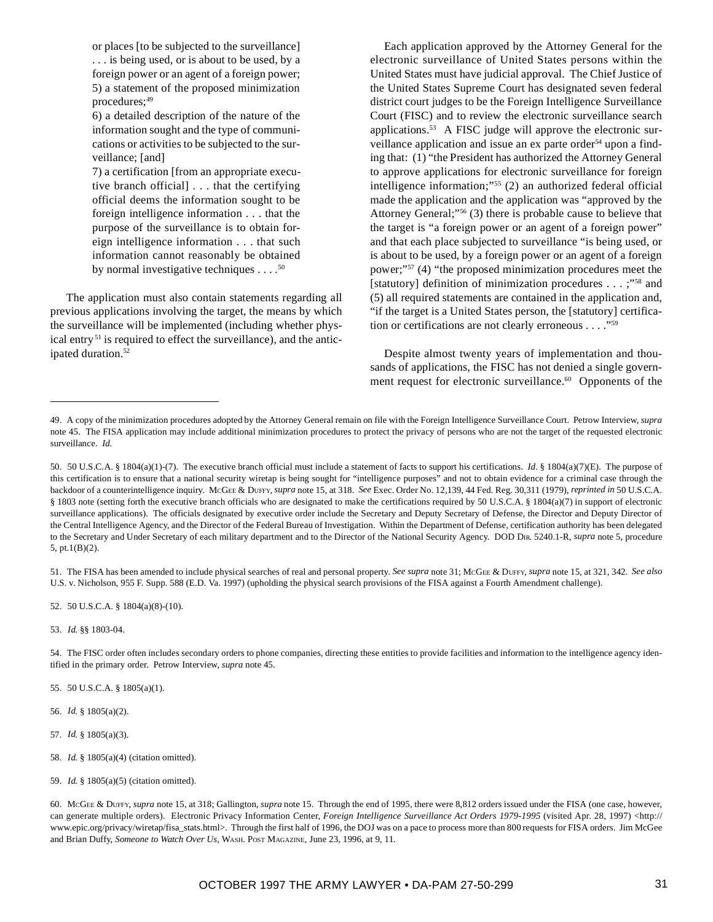or places [to be subjected to the surveillance] . . . is being used, or is about to be used, by a foreign power or an agent of a foreign power; 5) a statement of the proposed minimization procedures;<sup>49</sup>

6) a detailed description of the nature of the information sought and the type of communications or activities to be subjected to the surveillance; [and]

7) a certification [from an appropriate executive branch official] . . . that the certifying official deems the information sought to be foreign intelligence information . . . that the purpose of the surveillance is to obtain foreign intelligence information . . . that such information cannot reasonably be obtained by normal investigative techniques  $\dots$ .<sup>50</sup>

The application must also contain statements regarding all previous applications involving the target, the means by which the surveillance will be implemented (including whether physical entry<sup>51</sup> is required to effect the surveillance), and the anticipated duration.<sup>52</sup>

Each application approved by the Attorney General for the electronic surveillance of United States persons within the United States must have judicial approval. The Chief Justice of the United States Supreme Court has designated seven federal district court judges to be the Foreign Intelligence Surveillance Court (FISC) and to review the electronic surveillance search applications.53 A FISC judge will approve the electronic surveillance application and issue an ex parte order<sup>54</sup> upon a finding that: (1) "the President has authorized the Attorney General to approve applications for electronic surveillance for foreign intelligence information;"55 (2) an authorized federal official made the application and the application was "approved by the Attorney General;"56 (3) there is probable cause to believe that the target is "a foreign power or an agent of a foreign power" and that each place subjected to surveillance "is being used, or is about to be used, by a foreign power or an agent of a foreign power;"57 (4) "the proposed minimization procedures meet the [statutory] definition of minimization procedures . . . ;"58 and (5) all required statements are contained in the application and, "if the target is a United States person, the [statutory] certification or certifications are not clearly erroneous . . . ."59

Despite almost twenty years of implementation and thousands of applications, the FISC has not denied a single government request for electronic surveillance.<sup>60</sup> Opponents of the

51. The FISA has been amended to include physical searches of real and personal property. *See supra* note 31; MCGEE & DUFFY, *supra* note 15, at 321, 342. *See also* U.S. v. Nicholson, 955 F. Supp. 588 (E.D. Va. 1997) (upholding the physical search provisions of the FISA against a Fourth Amendment challenge).

52. 50 U.S.C.A. § 1804(a)(8)-(10).

53. *Id*. §§ 1803-04.

54. The FISC order often includes secondary orders to phone companies, directing these entities to provide facilities and information to the intelligence agency identified in the primary order. Petrow Interview, *supra* note 45.

55. 50 U.S.C.A. § 1805(a)(1).

56. *Id*. § 1805(a)(2).

58. *Id*. § 1805(a)(4) (citation omitted).

<sup>49.</sup> A copy of the minimization procedures adopted by the Attorney General remain on file with the Foreign Intelligence Surveillance Court. Petrow Interview, *supra* note 45. The FISA application may include additional minimization procedures to protect the privacy of persons who are not the target of the requested electronic surveillance. *Id.*

<sup>50. 50</sup> U.S.C.A. § 1804(a)(1)-(7). The executive branch official must include a statement of facts to support his certifications. *Id.* § 1804(a)(7)(E). The purpose of this certification is to ensure that a national security wiretap is being sought for "intelligence purposes" and not to obtain evidence for a criminal case through the backdoor of a counterintelligence inquiry. MCGEE & DUFFY, *supra* note 15, at 318. *See* Exec. Order No. 12,139, 44 Fed. Reg. 30,311 (1979), *reprinted in* 50 U.S.C.A. § 1803 note (setting forth the executive branch officials who are designated to make the certifications required by 50 U.S.C.A. § 1804(a)(7) in support of electronic surveillance applications). The officials designated by executive order include the Secretary and Deputy Secretary of Defense, the Director and Deputy Director of the Central Intelligence Agency, and the Director of the Federal Bureau of Investigation. Within the Department of Defense, certification authority has been delegated to the Secretary and Under Secretary of each military department and to the Director of the National Security Agency. DOD DIR. 5240.1-R, *supra* note 5, procedure 5, pt.1(B)(2).

<sup>57.</sup> *Id*. § 1805(a)(3).

<sup>59.</sup> *Id*. § 1805(a)(5) (citation omitted).

<sup>60.</sup> MCGEE & DUFFY, *supra* note 15, at 318; Gallington, *supra* note 15. Through the end of 1995, there were 8,812 orders issued under the FISA (one case, however, can generate multiple orders). Electronic Privacy Information Center, *Foreign Intelligence Surveillance Act Orders 1979*-*1995* (visited Apr. 28, 1997) <http:// www.epic.org/privacy/wiretap/fisa\_stats.html>. Through the first half of 1996, the DOJ was on a pace to process more than 800 requests for FISA orders. Jim McGee and Brian Duffy, *Someone to Watch Over Us*, WASH. POST MAGAZINE, June 23, 1996, at 9, 11.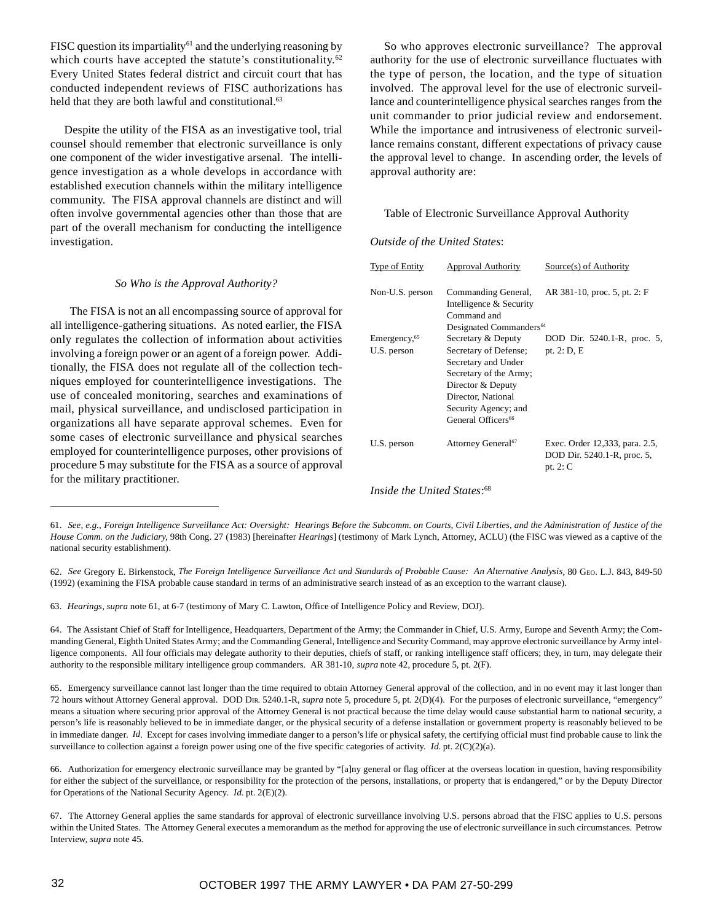FISC question its impartiality<sup>61</sup> and the underlying reasoning by which courts have accepted the statute's constitutionality.<sup>62</sup> Every United States federal district and circuit court that has conducted independent reviews of FISC authorizations has held that they are both lawful and constitutional.<sup>63</sup>

Despite the utility of the FISA as an investigative tool, trial counsel should remember that electronic surveillance is only one component of the wider investigative arsenal. The intelligence investigation as a whole develops in accordance with established execution channels within the military intelligence community. The FISA approval channels are distinct and will often involve governmental agencies other than those that are part of the overall mechanism for conducting the intelligence investigation.

#### *So Who is the Approval Authority?*

The FISA is not an all encompassing source of approval for all intelligence-gathering situations. As noted earlier, the FISA only regulates the collection of information about activities involving a foreign power or an agent of a foreign power. Additionally, the FISA does not regulate all of the collection techniques employed for counterintelligence investigations. The use of concealed monitoring, searches and examinations of mail, physical surveillance, and undisclosed participation in organizations all have separate approval schemes. Even for some cases of electronic surveillance and physical searches employed for counterintelligence purposes, other provisions of procedure 5 may substitute for the FISA as a source of approval for the military practitioner.

So who approves electronic surveillance? The approval authority for the use of electronic surveillance fluctuates with the type of person, the location, and the type of situation involved. The approval level for the use of electronic surveillance and counterintelligence physical searches ranges from the unit commander to prior judicial review and endorsement. While the importance and intrusiveness of electronic surveillance remains constant, different expectations of privacy cause the approval level to change. In ascending order, the levels of approval authority are:

### Table of Electronic Surveillance Approval Authority

### *Outside of the United States*:

| <b>Type of Entity</b>    | <b>Approval Authority</b>                                     | Source(s) of Authority                                                      |
|--------------------------|---------------------------------------------------------------|-----------------------------------------------------------------------------|
| Non-U.S. person          | Commanding General,<br>Intelligence & Security<br>Command and | AR 381-10, proc. 5, pt. 2: F                                                |
|                          | Designated Commanders <sup>64</sup>                           |                                                                             |
| Emergency, <sup>65</sup> | Secretary & Deputy                                            | DOD Dir. 5240.1-R, proc. 5,                                                 |
| U.S. person              | Secretary of Defense;                                         | pt. $2: D, E$                                                               |
|                          | Secretary and Under                                           |                                                                             |
|                          | Secretary of the Army;                                        |                                                                             |
|                          | Director & Deputy                                             |                                                                             |
|                          | Director, National                                            |                                                                             |
|                          | Security Agency; and                                          |                                                                             |
|                          | General Officers <sup>66</sup>                                |                                                                             |
| U.S. person              | Attorney General <sup>67</sup>                                | Exec. Order 12,333, para. 2.5,<br>DOD Dir. 5240.1-R, proc. 5,<br>pt. $2: C$ |

*Inside the United States*: 68

63. *Hearings*, *supra* note 61, at 6-7 (testimony of Mary C. Lawton, Office of Intelligence Policy and Review, DOJ).

<sup>61.</sup> *See, e.g., Foreign Intelligence Surveillance Act: Oversight: Hearings Before the Subcomm. on Courts, Civil Liberties, and the Administration of Justice of the House Comm. on the Judiciary*, 98th Cong. 27 (1983) [hereinafter *Hearings*] (testimony of Mark Lynch, Attorney, ACLU) (the FISC was viewed as a captive of the national security establishment).

<sup>62.</sup> *See* Gregory E. Birkenstock, *The Foreign Intelligence Surveillance Act and Standards of Probable Cause: An Alternative Analysis*, 80 GEO. L.J. 843, 849-50 (1992) (examining the FISA probable cause standard in terms of an administrative search instead of as an exception to the warrant clause).

<sup>64.</sup> The Assistant Chief of Staff for Intelligence, Headquarters, Department of the Army; the Commander in Chief, U.S. Army, Europe and Seventh Army; the Commanding General, Eighth United States Army; and the Commanding General, Intelligence and Security Command, may approve electronic surveillance by Army intelligence components. All four officials may delegate authority to their deputies, chiefs of staff, or ranking intelligence staff officers; they, in turn, may delegate their authority to the responsible military intelligence group commanders. AR 381-10, *supra* note 42, procedure 5, pt. 2(F).

<sup>65.</sup> Emergency surveillance cannot last longer than the time required to obtain Attorney General approval of the collection, and in no event may it last longer than 72 hours without Attorney General approval. DOD DIR. 5240.1-R, *supra* note 5, procedure 5, pt. 2(D)(4). For the purposes of electronic surveillance, "emergency" means a situation where securing prior approval of the Attorney General is not practical because the time delay would cause substantial harm to national security, a person's life is reasonably believed to be in immediate danger, or the physical security of a defense installation or government property is reasonably believed to be in immediate danger. *Id*. Except for cases involving immediate danger to a person's life or physical safety, the certifying official must find probable cause to link the surveillance to collection against a foreign power using one of the five specific categories of activity. *Id.* pt. 2(C)(2)(a).

<sup>66.</sup> Authorization for emergency electronic surveillance may be granted by "[a]ny general or flag officer at the overseas location in question, having responsibility for either the subject of the surveillance, or responsibility for the protection of the persons, installations, or property that is endangered," or by the Deputy Director for Operations of the National Security Agency. *Id*. pt. 2(E)(2).

<sup>67.</sup> The Attorney General applies the same standards for approval of electronic surveillance involving U.S. persons abroad that the FISC applies to U.S. persons within the United States. The Attorney General executes a memorandum as the method for approving the use of electronic surveillance in such circumstances. Petrow Interview, *supra* note 45.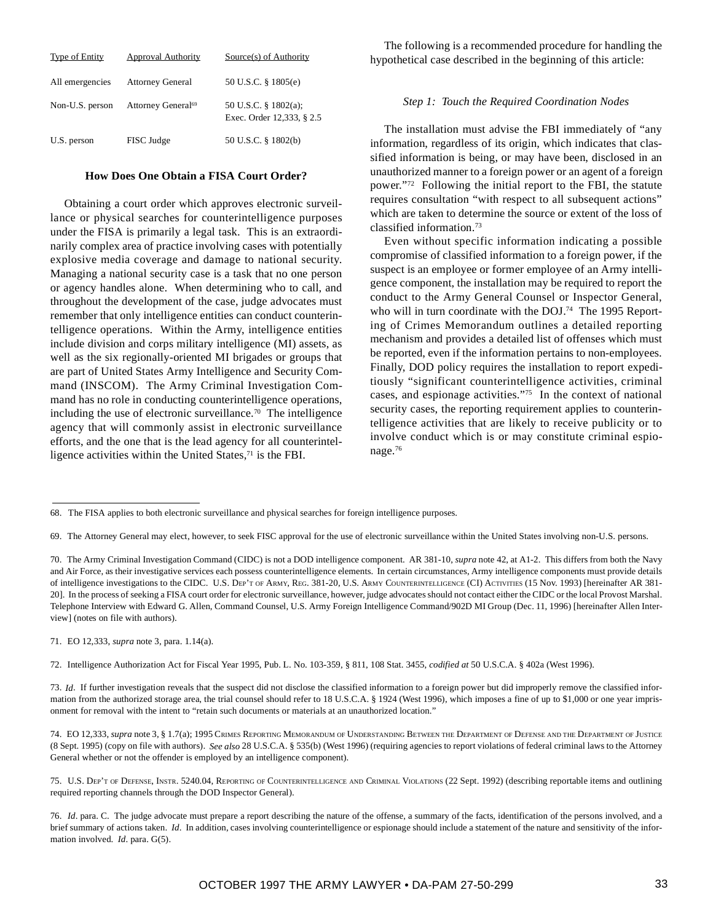| <b>Type of Entity</b> | <b>Approval Authority</b>      | Source(s) of Authority                            |
|-----------------------|--------------------------------|---------------------------------------------------|
| All emergencies       | <b>Attorney General</b>        | 50 U.S.C. § 1805(e)                               |
| Non-U.S. person       | Attorney General <sup>69</sup> | 50 U.S.C. § 1802(a);<br>Exec. Order 12,333, § 2.5 |
| U.S. person           | FISC Judge                     | 50 U.S.C. § 1802(b)                               |

#### **How Does One Obtain a FISA Court Order?**

Obtaining a court order which approves electronic surveillance or physical searches for counterintelligence purposes under the FISA is primarily a legal task. This is an extraordinarily complex area of practice involving cases with potentially explosive media coverage and damage to national security. Managing a national security case is a task that no one person or agency handles alone. When determining who to call, and throughout the development of the case, judge advocates must remember that only intelligence entities can conduct counterintelligence operations. Within the Army, intelligence entities include division and corps military intelligence (MI) assets, as well as the six regionally-oriented MI brigades or groups that are part of United States Army Intelligence and Security Command (INSCOM). The Army Criminal Investigation Command has no role in conducting counterintelligence operations, including the use of electronic surveillance.70 The intelligence agency that will commonly assist in electronic surveillance efforts, and the one that is the lead agency for all counterintelligence activities within the United States,<sup>71</sup> is the FBI.

The following is a recommended procedure for handling the hypothetical case described in the beginning of this article:

### *Step 1: Touch the Required Coordination Nodes*

The installation must advise the FBI immediately of "any information, regardless of its origin, which indicates that classified information is being, or may have been, disclosed in an unauthorized manner to a foreign power or an agent of a foreign power."72 Following the initial report to the FBI, the statute requires consultation "with respect to all subsequent actions" which are taken to determine the source or extent of the loss of classified information.73

Even without specific information indicating a possible compromise of classified information to a foreign power, if the suspect is an employee or former employee of an Army intelligence component, the installation may be required to report the conduct to the Army General Counsel or Inspector General, who will in turn coordinate with the DOJ.<sup>74</sup> The 1995 Reporting of Crimes Memorandum outlines a detailed reporting mechanism and provides a detailed list of offenses which must be reported, even if the information pertains to non-employees. Finally, DOD policy requires the installation to report expeditiously "significant counterintelligence activities, criminal cases, and espionage activities."75 In the context of national security cases, the reporting requirement applies to counterintelligence activities that are likely to receive publicity or to involve conduct which is or may constitute criminal espionage.76

71. EO 12,333, *supra* note 3, para. 1.14(a).

72. Intelligence Authorization Act for Fiscal Year 1995, Pub. L. No. 103-359, § 811, 108 Stat. 3455, *codified at* 50 U.S.C.A. § 402a (West 1996).

73. *Id*. If further investigation reveals that the suspect did not disclose the classified information to a foreign power but did improperly remove the classified information from the authorized storage area, the trial counsel should refer to 18 U.S.C.A. § 1924 (West 1996), which imposes a fine of up to \$1,000 or one year imprisonment for removal with the intent to "retain such documents or materials at an unauthorized location."

74. EO 12,333, *supra* note 3, § 1.7(a); 1995 CRIMES REPORTING MEMORANDUM OF UNDERSTANDING BETWEEN THE DEPARTMENT OF DEFENSE AND THE DEPARTMENT OF JUSTICE (8 Sept. 1995) (copy on file with authors). *See also* 28 U.S.C.A. § 535(b) (West 1996) (requiring agencies to report violations of federal criminal laws to the Attorney General whether or not the offender is employed by an intelligence component).

75. U.S. DEP'T OF DEFENSE, INSTR. 5240.04, REPORTING OF COUNTERINTELLIGENCE AND CRIMINAL VIOLATIONS (22 Sept. 1992) (describing reportable items and outlining required reporting channels through the DOD Inspector General).

<sup>68.</sup> The FISA applies to both electronic surveillance and physical searches for foreign intelligence purposes.

<sup>69.</sup> The Attorney General may elect, however, to seek FISC approval for the use of electronic surveillance within the United States involving non-U.S. persons.

<sup>70.</sup> The Army Criminal Investigation Command (CIDC) is not a DOD intelligence component. AR 381-10, *supra* note 42, at A1-2. This differs from both the Navy and Air Force, as their investigative services each possess counterintelligence elements. In certain circumstances, Army intelligence components must provide details of intelligence investigations to the CIDC. U.S. DEP'T OF ARMY, REG. 381-20, U.S. ARMY COUNTERINTELLIGENCE (CI) ACTIVITIES (15 Nov. 1993) [hereinafter AR 381- 20]. In the process of seeking a FISA court order for electronic surveillance, however, judge advocates should not contact either the CIDC or the local Provost Marshal. Telephone Interview with Edward G. Allen, Command Counsel, U.S. Army Foreign Intelligence Command/902D MI Group (Dec. 11, 1996) [hereinafter Allen Interview] (notes on file with authors).

<sup>76.</sup> *Id*. para. C. The judge advocate must prepare a report describing the nature of the offense, a summary of the facts, identification of the persons involved, and a brief summary of actions taken. *Id*. In addition, cases involving counterintelligence or espionage should include a statement of the nature and sensitivity of the information involved. *Id*. para. G(5).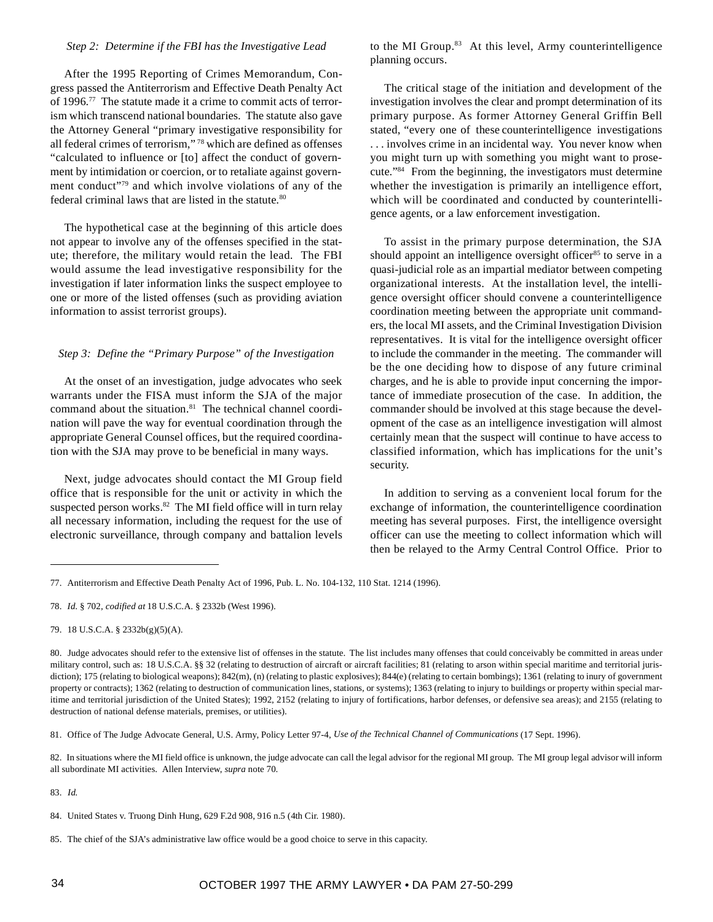## *Step 2: Determine if the FBI has the Investigative Lead*

After the 1995 Reporting of Crimes Memorandum, Congress passed the Antiterrorism and Effective Death Penalty Act of 1996.77 The statute made it a crime to commit acts of terrorism which transcend national boundaries. The statute also gave the Attorney General "primary investigative responsibility for all federal crimes of terrorism," 78 which are defined as offenses "calculated to influence or [to] affect the conduct of government by intimidation or coercion, or to retaliate against government conduct"79 and which involve violations of any of the federal criminal laws that are listed in the statute.<sup>80</sup>

The hypothetical case at the beginning of this article does not appear to involve any of the offenses specified in the statute; therefore, the military would retain the lead. The FBI would assume the lead investigative responsibility for the investigation if later information links the suspect employee to one or more of the listed offenses (such as providing aviation information to assist terrorist groups).

## *Step 3: Define the "Primary Purpose" of the Investigation*

At the onset of an investigation, judge advocates who seek warrants under the FISA must inform the SJA of the major command about the situation.<sup>81</sup> The technical channel coordination will pave the way for eventual coordination through the appropriate General Counsel offices, but the required coordination with the SJA may prove to be beneficial in many ways.

Next, judge advocates should contact the MI Group field office that is responsible for the unit or activity in which the suspected person works.<sup>82</sup> The MI field office will in turn relay all necessary information, including the request for the use of electronic surveillance, through company and battalion levels

to the MI Group.<sup>83</sup> At this level, Army counterintelligence planning occurs.

The critical stage of the initiation and development of the investigation involves the clear and prompt determination of its primary purpose. As former Attorney General Griffin Bell stated, "every one of these counterintelligence investigations . . . involves crime in an incidental way. You never know when you might turn up with something you might want to prosecute."84 From the beginning, the investigators must determine whether the investigation is primarily an intelligence effort, which will be coordinated and conducted by counterintelligence agents, or a law enforcement investigation.

To assist in the primary purpose determination, the SJA should appoint an intelligence oversight officer<sup>85</sup> to serve in a quasi-judicial role as an impartial mediator between competing organizational interests. At the installation level, the intelligence oversight officer should convene a counterintelligence coordination meeting between the appropriate unit commanders, the local MI assets, and the Criminal Investigation Division representatives. It is vital for the intelligence oversight officer to include the commander in the meeting. The commander will be the one deciding how to dispose of any future criminal charges, and he is able to provide input concerning the importance of immediate prosecution of the case. In addition, the commander should be involved at this stage because the development of the case as an intelligence investigation will almost certainly mean that the suspect will continue to have access to classified information, which has implications for the unit's security.

In addition to serving as a convenient local forum for the exchange of information, the counterintelligence coordination meeting has several purposes. First, the intelligence oversight officer can use the meeting to collect information which will then be relayed to the Army Central Control Office. Prior to

84. United States v. Truong Dinh Hung, 629 F.2d 908, 916 n.5 (4th Cir. 1980).

<sup>77.</sup> Antiterrorism and Effective Death Penalty Act of 1996, Pub. L. No. 104-132, 110 Stat. 1214 (1996).

<sup>78.</sup> *Id*. § 702, *codified at* 18 U.S.C.A. § 2332b (West 1996).

<sup>79. 18</sup> U.S.C.A. § 2332b(g)(5)(A).

<sup>80.</sup> Judge advocates should refer to the extensive list of offenses in the statute. The list includes many offenses that could conceivably be committed in areas under military control, such as: 18 U.S.C.A. §§ 32 (relating to destruction of aircraft or aircraft facilities; 81 (relating to arson within special maritime and territorial jurisdiction); 175 (relating to biological weapons); 842(m), (n) (relating to plastic explosives); 844(e) (relating to certain bombings); 1361 (relating to inury of government property or contracts); 1362 (relating to destruction of communication lines, stations, or systems); 1363 (relating to injury to buildings or property within special maritime and territorial jurisdiction of the United States); 1992, 2152 (relating to injury of fortifications, harbor defenses, or defensive sea areas); and 2155 (relating to destruction of national defense materials, premises, or utilities).

<sup>81.</sup> Office of The Judge Advocate General, U.S. Army, Policy Letter 97-4, *Use of the Technical Channel of Communications* (17 Sept. 1996).

<sup>82.</sup> In situations where the MI field office is unknown, the judge advocate can call the legal advisor for the regional MI group. The MI group legal advisor will inform all subordinate MI activities. Allen Interview, *supra* note 70.

<sup>83.</sup> *Id.*

<sup>85.</sup> The chief of the SJA's administrative law office would be a good choice to serve in this capacity.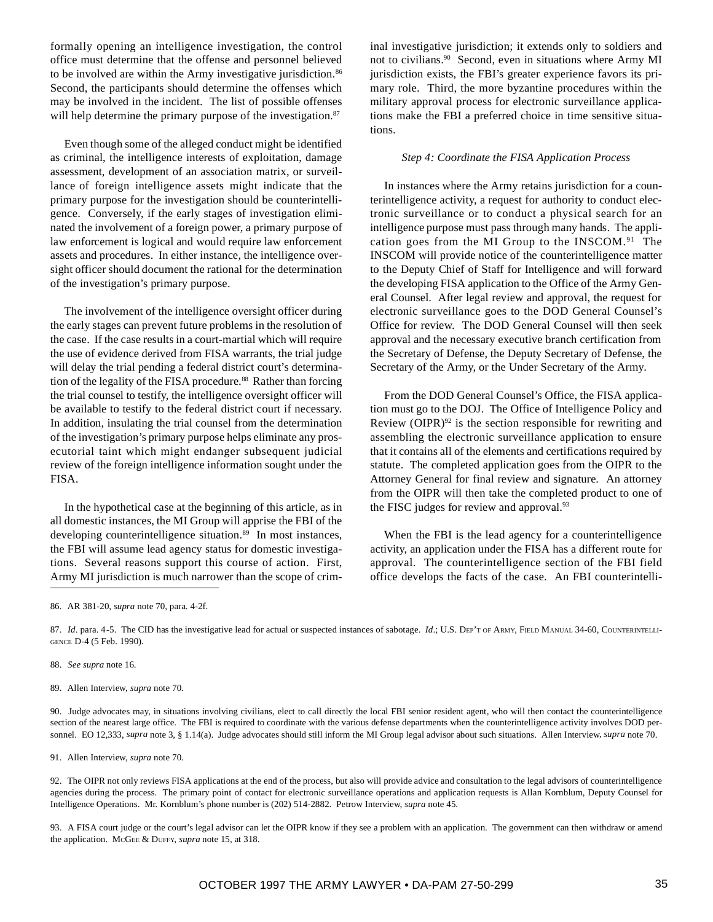formally opening an intelligence investigation, the control office must determine that the offense and personnel believed to be involved are within the Army investigative jurisdiction.<sup>86</sup> Second, the participants should determine the offenses which may be involved in the incident. The list of possible offenses will help determine the primary purpose of the investigation.<sup>87</sup>

Even though some of the alleged conduct might be identified as criminal, the intelligence interests of exploitation, damage assessment, development of an association matrix, or surveillance of foreign intelligence assets might indicate that the primary purpose for the investigation should be counterintelligence. Conversely, if the early stages of investigation eliminated the involvement of a foreign power, a primary purpose of law enforcement is logical and would require law enforcement assets and procedures. In either instance, the intelligence oversight officer should document the rational for the determination of the investigation's primary purpose.

The involvement of the intelligence oversight officer during the early stages can prevent future problems in the resolution of the case. If the case results in a court-martial which will require the use of evidence derived from FISA warrants, the trial judge will delay the trial pending a federal district court's determination of the legality of the FISA procedure.<sup>88</sup> Rather than forcing the trial counsel to testify, the intelligence oversight officer will be available to testify to the federal district court if necessary. In addition, insulating the trial counsel from the determination of the investigation's primary purpose helps eliminate any prosecutorial taint which might endanger subsequent judicial review of the foreign intelligence information sought under the FISA.

In the hypothetical case at the beginning of this article, as in all domestic instances, the MI Group will apprise the FBI of the developing counterintelligence situation.<sup>89</sup> In most instances, the FBI will assume lead agency status for domestic investigations. Several reasons support this course of action. First, Army MI jurisdiction is much narrower than the scope of criminal investigative jurisdiction; it extends only to soldiers and not to civilians.90 Second, even in situations where Army MI jurisdiction exists, the FBI's greater experience favors its primary role. Third, the more byzantine procedures within the military approval process for electronic surveillance applications make the FBI a preferred choice in time sensitive situations.

#### *Step 4: Coordinate the FISA Application Process*

In instances where the Army retains jurisdiction for a counterintelligence activity, a request for authority to conduct electronic surveillance or to conduct a physical search for an intelligence purpose must pass through many hands. The application goes from the MI Group to the INSCOM.<sup>91</sup> The INSCOM will provide notice of the counterintelligence matter to the Deputy Chief of Staff for Intelligence and will forward the developing FISA application to the Office of the Army General Counsel. After legal review and approval, the request for electronic surveillance goes to the DOD General Counsel's Office for review. The DOD General Counsel will then seek approval and the necessary executive branch certification from the Secretary of Defense, the Deputy Secretary of Defense, the Secretary of the Army, or the Under Secretary of the Army.

From the DOD General Counsel's Office, the FISA application must go to the DOJ. The Office of Intelligence Policy and Review (OIPR) $92$  is the section responsible for rewriting and assembling the electronic surveillance application to ensure that it contains all of the elements and certifications required by statute. The completed application goes from the OIPR to the Attorney General for final review and signature. An attorney from the OIPR will then take the completed product to one of the FISC judges for review and approval.<sup>93</sup>

When the FBI is the lead agency for a counterintelligence activity, an application under the FISA has a different route for approval. The counterintelligence section of the FBI field office develops the facts of the case. An FBI counterintelli-

89. Allen Interview, *supra* note 70.

90. Judge advocates may, in situations involving civilians, elect to call directly the local FBI senior resident agent, who will then contact the counterintelligence section of the nearest large office. The FBI is required to coordinate with the various defense departments when the counterintelligence activity involves DOD personnel. EO 12,333, *supra* note 3, § 1.14(a). Judge advocates should still inform the MI Group legal advisor about such situations. Allen Interview*, supra* note 70.

91. Allen Interview, *supra* note 70.

92. The OIPR not only reviews FISA applications at the end of the process, but also will provide advice and consultation to the legal advisors of counterintelligence agencies during the process. The primary point of contact for electronic surveillance operations and application requests is Allan Kornblum, Deputy Counsel for Intelligence Operations. Mr. Kornblum's phone number is (202) 514-2882. Petrow Interview, *supra* note 45.

93. A FISA court judge or the court's legal advisor can let the OIPR know if they see a problem with an application. The government can then withdraw or amend the application. MCGEE & DUFFY, *supra* note 15, at 318.

<sup>86.</sup> AR 381-20, *supra* note 70, para. 4-2f.

<sup>87.</sup> *Id.* para. 4-5. The CID has the investigative lead for actual or suspected instances of sabotage. *Id.*; U.S. DEP'T OF ARMY, FIELD MANUAL 34-60, COUNTERINTELLI-GENCE D-4 (5 Feb. 1990).

<sup>88.</sup> *See supra* note 16.